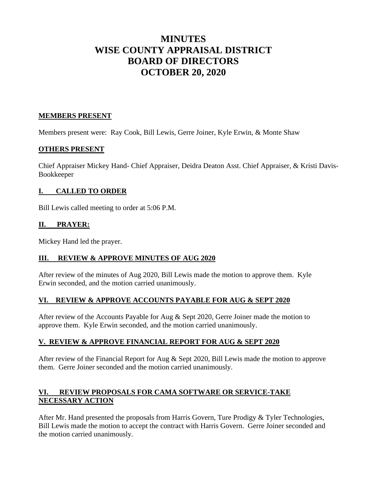# **MINUTES WISE COUNTY APPRAISAL DISTRICT BOARD OF DIRECTORS OCTOBER 20, 2020**

# **MEMBERS PRESENT**

Members present were: Ray Cook, Bill Lewis, Gerre Joiner, Kyle Erwin, & Monte Shaw

# **OTHERS PRESENT**

Chief Appraiser Mickey Hand- Chief Appraiser, Deidra Deaton Asst. Chief Appraiser, & Kristi Davis-Bookkeeper

# **I. CALLED TO ORDER**

Bill Lewis called meeting to order at 5:06 P.M.

# **II. PRAYER:**

Mickey Hand led the prayer.

### **III. REVIEW & APPROVE MINUTES OF AUG 2020**

After review of the minutes of Aug 2020, Bill Lewis made the motion to approve them. Kyle Erwin seconded, and the motion carried unanimously.

### **VI. REVIEW & APPROVE ACCOUNTS PAYABLE FOR AUG & SEPT 2020**

After review of the Accounts Payable for Aug & Sept 2020, Gerre Joiner made the motion to approve them. Kyle Erwin seconded, and the motion carried unanimously.

### **V. REVIEW & APPROVE FINANCIAL REPORT FOR AUG & SEPT 2020**

After review of the Financial Report for Aug & Sept 2020, Bill Lewis made the motion to approve them. Gerre Joiner seconded and the motion carried unanimously.

# **VI. REVIEW PROPOSALS FOR CAMA SOFTWARE OR SERVICE-TAKE NECESSARY ACTION**

After Mr. Hand presented the proposals from Harris Govern, Ture Prodigy & Tyler Technologies, Bill Lewis made the motion to accept the contract with Harris Govern. Gerre Joiner seconded and the motion carried unanimously.